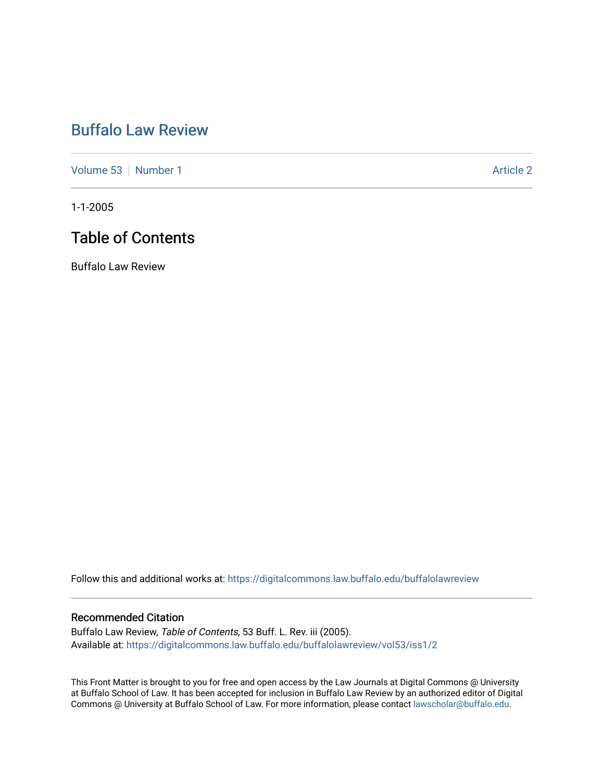# [Buffalo Law Review](https://digitalcommons.law.buffalo.edu/buffalolawreview)

[Volume 53](https://digitalcommons.law.buffalo.edu/buffalolawreview/vol53) [Number 1](https://digitalcommons.law.buffalo.edu/buffalolawreview/vol53/iss1) Article 2

1-1-2005

## Table of Contents

Buffalo Law Review

Follow this and additional works at: [https://digitalcommons.law.buffalo.edu/buffalolawreview](https://digitalcommons.law.buffalo.edu/buffalolawreview?utm_source=digitalcommons.law.buffalo.edu%2Fbuffalolawreview%2Fvol53%2Fiss1%2F2&utm_medium=PDF&utm_campaign=PDFCoverPages) 

#### Recommended Citation

Buffalo Law Review, Table of Contents, 53 Buff. L. Rev. iii (2005). Available at: [https://digitalcommons.law.buffalo.edu/buffalolawreview/vol53/iss1/2](https://digitalcommons.law.buffalo.edu/buffalolawreview/vol53/iss1/2?utm_source=digitalcommons.law.buffalo.edu%2Fbuffalolawreview%2Fvol53%2Fiss1%2F2&utm_medium=PDF&utm_campaign=PDFCoverPages) 

This Front Matter is brought to you for free and open access by the Law Journals at Digital Commons @ University at Buffalo School of Law. It has been accepted for inclusion in Buffalo Law Review by an authorized editor of Digital Commons @ University at Buffalo School of Law. For more information, please contact [lawscholar@buffalo.edu](mailto:lawscholar@buffalo.edu).